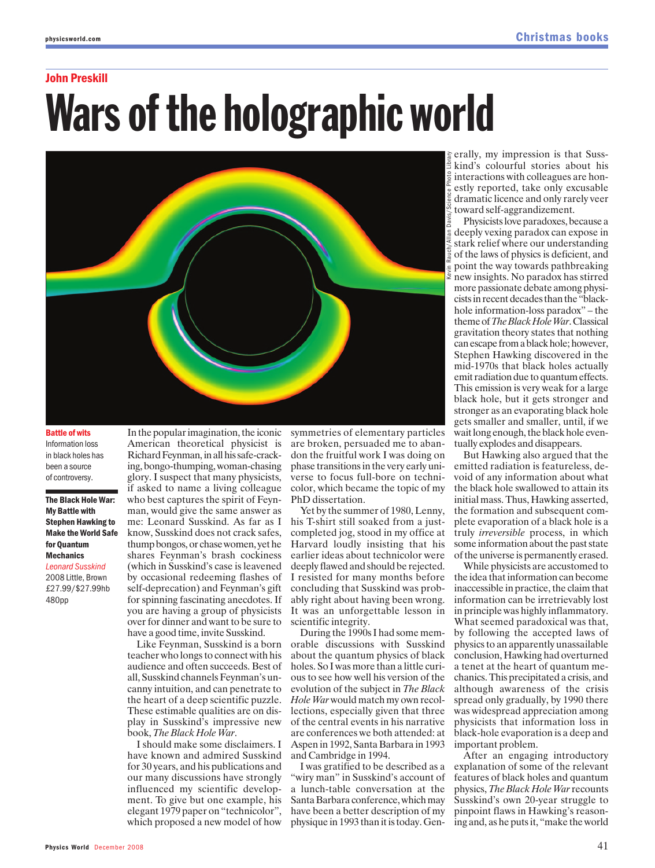#### John Preskill

# Wars of the holographic world



Battle of wits Information loss in black holes has been a source of controversy.

#### The Black Hole War: My Battle with Stephen Hawking to Make the World Safe for Quantum Mechanics

*Leonard Susskind* 2008 Little, Brown £27.99/\$27.99hb 480pp

American theoretical physicist is Richard Feynman, in all his safe-cracking, bongo-thumping, woman-chasing glory. I suspect that many physicists, if asked to name a living colleague who best captures the spirit of Feynman, would give the same answer as me: Leonard Susskind. As far as I know, Susskind does not crack safes, thump bongos, or chase women, yet he shares Feynman's brash cockiness (which in Susskind's case is leavened by occasional redeeming flashes of self-deprecation) and Feynman's gift for spinning fascinating anecdotes. If you are having a group of physicists over for dinner and want to be sure to have a good time, invite Susskind.

In the popular imagination, the iconic

Like Feynman, Susskind is a born teacher who longs to connect with his audience and often succeeds. Best of all, Susskind channels Feynman's uncanny intuition, and can penetrate to the heart of a deep scientific puzzle. These estimable qualities are on display in Susskind's impressive new book, *The Black Hole War*.

I should make some disclaimers. I have known and admired Susskind for 30 years, and his publications and our many discussions have strongly influenced my scientific development. To give but one example, his elegant 1979 paper on "technicolor", which proposed a new model of how symmetries of elementary particles are broken, persuaded me to abandon the fruitful work I was doing on phase transitions in the very early universe to focus full-bore on technicolor, which became the topic of my PhD dissertation.

Yet by the summer of 1980, Lenny, his T-shirt still soaked from a justcompleted jog, stood in my office at Harvard loudly insisting that his earlier ideas about technicolor were deeply flawed and should be rejected. I resisted for many months before concluding that Susskind was probably right about having been wrong. It was an unforgettable lesson in scientific integrity.

During the 1990s I had some memorable discussions with Susskind about the quantum physics of black holes. So I was more than a little curious to see how well his version of the evolution of the subject in *The Black Hole War*would match my own recollections, especially given that three of the central events in his narrative are conferences we both attended: at Aspen in 1992, Santa Barbara in 1993 and Cambridge in 1994.

I was gratified to be described as a "wiry man" in Susskind's account of a lunch-table conversation at the Santa Barbara conference, which may have been a better description of my physique in 1993 than it is today. Gen-

erally, my impression is that Susskind's colourful stories about his interactions with colleagues are honestly reported, take only excusable dramatic licence and only rarely veer toward self-aggrandizement.

Physicists love paradoxes, because a deeply vexing paradox can expose in stark relief where our understanding of the laws of physics is deficient, and point the way towards pathbreaking new insights. No paradox has stirred more passionate debate among physicists in recent decades than the "blackhole information-loss paradox" – the theme of *The Black Hole War*. Classical gravitation theory states that nothing can escape from a black hole; however, Stephen Hawking discovered in the mid-1970s that black holes actually emit radiation due to quantum effects. This emission is very weak for a large black hole, but it gets stronger and stronger as an evaporating black hole gets smaller and smaller, until, if we wait long enough, the black hole eventually explodes and disappears.

But Hawking also argued that the emitted radiation is featureless, devoid of any information about what the black hole swallowed to attain its initial mass. Thus, Hawking asserted, the formation and subsequent complete evaporation of a black hole is a truly *irreversible* process, in which some information about the past state of the universe is permanently erased.

While physicists are accustomed to the idea that information can become inaccessible in practice, the claim that information can be irretrievably lost in principle was highly inflammatory. What seemed paradoxical was that, by following the accepted laws of physics to an apparently unassailable conclusion, Hawking had overturned a tenet at the heart of quantum mechanics. This precipitated a crisis, and although awareness of the crisis spread only gradually, by 1990 there was widespread appreciation among physicists that information loss in black-hole evaporation is a deep and important problem.

After an engaging introductory explanation of some of the relevant features of black holes and quantum physics, *The Black Hole War*recounts Susskind's own 20-year struggle to pinpoint flaws in Hawking's reasoning and, as he puts it, "make the world